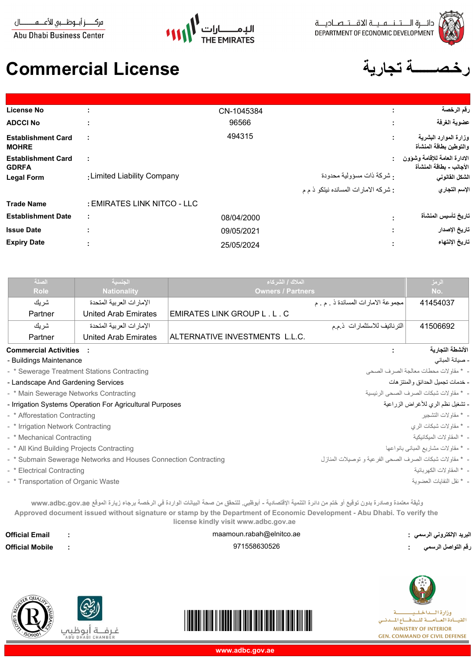



مركــــــز أبـــوظــــبي للأعــــــهـــــــــــال **Abu Dhabi Business Center** 

## **رخـصــــــة تجارية License Commercial**

| License No                                |                             | CN-1045384 | ٠<br>٠.                              | رقم الرخصة                                              |
|-------------------------------------------|-----------------------------|------------|--------------------------------------|---------------------------------------------------------|
| <b>ADCCI No</b>                           |                             | 96566      | ٠.                                   | عضوية الغرفة                                            |
| <b>Establishment Card</b><br><b>MOHRE</b> | ÷                           | 494315     | ٠.                                   | وزارة الموارد البشرية<br>والتوطين بطاقة المنشأة         |
| <b>Establishment Card</b><br><b>GDRFA</b> | ÷                           |            |                                      | الادارة العامة للإقامة وشؤون<br>الأجانب - بطاقة المنشأة |
| <b>Legal Form</b>                         | : Limited Liability Company |            | . شركة ذات مسؤولية محدودة            | الشكل القانوني                                          |
|                                           |                             |            | : شركه الامارات المسانده نيتكو ذ م م | الإسم التجاري                                           |
| <b>Trade Name</b>                         | : EMIRATES LINK NITCO - LLC |            |                                      |                                                         |
| <b>Establishment Date</b>                 | ÷                           | 08/04/2000 |                                      | تاريخ تأسيس المنشأة                                     |
| <b>Issue Date</b>                         | ٠                           | 09/05/2021 |                                      | تاريخ الإصدار                                           |
| <b>Expiry Date</b>                        |                             | 25/05/2024 |                                      | تاريخ الإنتهاء                                          |
|                                           |                             |            |                                      |                                                         |

| الصلة                        | الجنسية                    | الملاك / الشركاء                   | الرمز            |
|------------------------------|----------------------------|------------------------------------|------------------|
| Role                         | <b>Nationality</b>         | <b>Owners / Partners</b>           | No.              |
| شر بك                        | الإمار ات العربية المتحدة  | مجموعة الامارات المساندة ذ . م . م | 41454037         |
| Partner                      | United Arab Emirates       | EMIRATES LINK GROUP L . L . C      |                  |
| شر بك                        | الإمار ات العر بية المتحدة | الترناتيف للاستثمارات ذمم          | 41506692         |
| Partner                      | United Arab Emirates       | ALTERNATIVE INVESTMENTS L.L.C.     |                  |
| <b>Commercial Activities</b> |                            |                                    | الأنشطة النحارية |

| <b>Commercial Activities</b> |  |  |  |
|------------------------------|--|--|--|
| - Buildings Maintenance      |  |  |  |

- \* Afforestation Contracting - \* Irrigation Network Contracting - \* Mechanical Contracting

- \* Electrical Contracting

- \* Sewerage Treatment Stations Contracting

- Irrigation Systems Operation For Agricultural Purposes

- \* Submain Sewerage Networks and Houses Connection Contracting

- Landscape And Gardening Services - \* Main Sewerage Networks Contracting

- \* All Kind Building Projects Contracting

- \* Transportation of Organic Waste

- صيانة المباني

- \* مقاولات محطات معالجة الصرف الصحى

- خدمات تجميل الحدائق والمنتزهات

- \* مقاولات شبكات الصرف الصحى الرئيسية

## - تشغيل نظم الري للأغراض الزراعية

- \* مقاولات التشجير
- \* مقاولات شبكات الري
- 
- \* المقاولات الميكانيكية
- \* مقاولات مشاريع المبانى بانواعها
- \* مقاولات شبكات الصرف الصحى الفرعية و توصيلات المنازل
	- \* المقاولات الكهربائية
	- \* نقل النفايات العضوية

**البريد الإلكتروني الرسمي : رقم التواصل الرسمي** 

**وثيقة معتمدة وصادرة بدون توقيع أو ختم من دائرة التنمية الإقتصادية - أبوظبي. للتحقق من صحة البيانات الواردة في الرخصة برجاء زيارة الموقع ae.gov.adbc.www Approved document issued without signature or stamp by the Department of Economic Development - Abu Dhabi. To verify the license kindly visit www.adbc.gov.ae**

**Official Email Official Mobile :** maamoun.rabah@elnitco.ae 971558630526





**:**





**:**

القيسادة العسامسة للسدفساع المسدنسي **MINISTRY OF INTERIOR GEN. COMMAND OF CIVIL DEFENSE**